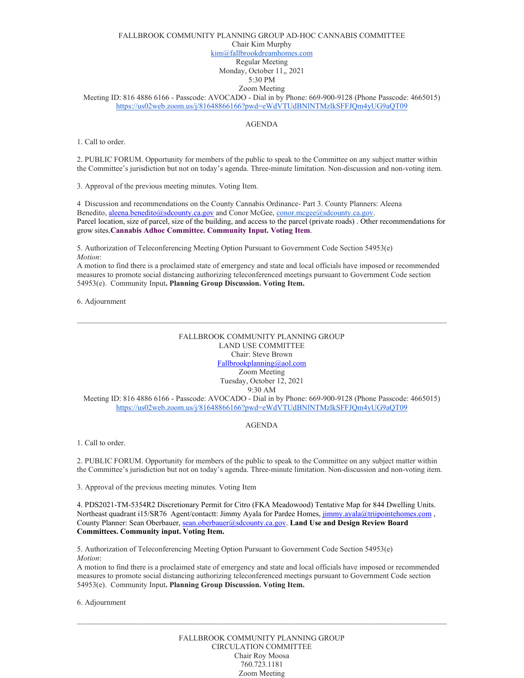### FALLBROOK COMMUNITY PLANNING GROUP AD-HOC CANNABIS COMMITTEE Chair Kim Murphy [kim@fallbrookdreamhomes.com](mailto:kim@fallbrookdreamhomes.com) Regular Meeting Monday, October 11,, 2021 5:30 PM Zoom Meeting

Meeting ID: 816 4886 6166 - Passcode: AVOCADO - Dial in by Phone: 669-900-9128 (Phone Passcode: 4665015) <https://us02web.zoom.us/j/81648866166?pwd=eWdVTUdBNlNTMzlkSFFJQm4yUG9aQT09>

### AGENDA

1. Call to order.

2. PUBLIC FORUM. Opportunity for members of the public to speak to the Committee on any subject matter within the Committee's jurisdiction but not on today's agenda. Three-minute limitation. Non-discussion and non-voting item.

3. Approval of the previous meeting minutes. Voting Item.

4 Discussion and recommendations on the County Cannabis Ordinance- Part 3. County Planners: Aleena Benedito, [aleena.benedito@sdcounty.ca.gov](mailto:aleena.benedito@sdcounty.ca.gov) and Conor McGee, [conor.mcgee@sdcounty.ca.gov.](mailto:conor.mcgee@sdcounty.ca.gov) Parcel location, size of parcel, size of the building, and access to the parcel (private roads) . Other recommendations for grow sites.**Cannabis Adhoc Committee. Community Input. Voting Item**.

5. Authorization of Teleconferencing Meeting Option Pursuant to Government Code Section 54953(e) *Motion*:

A motion to find there is a proclaimed state of emergency and state and local officials have imposed or recommended measures to promote social distancing authorizing teleconferenced meetings pursuant to Government Code section 54953(e). Community Input**. Planning Group Discussion. Voting Item.** 

6. Adjournment

## FALLBROOK COMMUNITY PLANNING GROUP LAND USE COMMITTEE Chair: Steve Brown [Fallbrookplanning@aol.com](mailto:Fallbrookplanning@aol.com) Zoom Meeting Tuesday, October 12, 2021 9:30 AM

 $\_$  , and the state of the state of the state of the state of the state of the state of the state of the state of the state of the state of the state of the state of the state of the state of the state of the state of the

Meeting ID: 816 4886 6166 - Passcode: AVOCADO - Dial in by Phone: 669-900-9128 (Phone Passcode: 4665015) <https://us02web.zoom.us/j/81648866166?pwd=eWdVTUdBNlNTMzlkSFFJQm4yUG9aQT09>

#### AGENDA

1. Call to order.

2. PUBLIC FORUM. Opportunity for members of the public to speak to the Committee on any subject matter within the Committee's jurisdiction but not on today's agenda. Three-minute limitation. Non-discussion and non-voting item.

3. Approval of the previous meeting minutes. Voting Item

4. PDS2021-TM-5354R2 Discretionary Permit for Citro (FKA Meadowood) Tentative Map for 844 Dwelling Units. Northeast quadrant i15/SR76 Agent/contactt: Jimmy Ayala for Pardee Homes,  $\overline{\text{jmmy}$ .ayala@triipointehomes.com, County Planner: Sean Oberbauer[, sean.oberbauer@sdcounty.ca.gov.](mailto:sean.oberbauer@sdcounty.ca.gov) **Land Use and Design Review Board Committees. Community input. Voting Item.**

5. Authorization of Teleconferencing Meeting Option Pursuant to Government Code Section 54953(e) *Motion*:

A motion to find there is a proclaimed state of emergency and state and local officials have imposed or recommended measures to promote social distancing authorizing teleconferenced meetings pursuant to Government Code section 54953(e). Community Input**. Planning Group Discussion. Voting Item.** 

6. Adjournment

#### FALLBROOK COMMUNITY PLANNING GROUP CIRCULATION COMMITTEE Chair Roy Moosa 760.723.1181 Zoom Meeting

 $\mathcal{L}_\mathcal{L} = \{ \mathcal{L}_\mathcal{L} = \{ \mathcal{L}_\mathcal{L} = \{ \mathcal{L}_\mathcal{L} = \{ \mathcal{L}_\mathcal{L} = \{ \mathcal{L}_\mathcal{L} = \{ \mathcal{L}_\mathcal{L} = \{ \mathcal{L}_\mathcal{L} = \{ \mathcal{L}_\mathcal{L} = \{ \mathcal{L}_\mathcal{L} = \{ \mathcal{L}_\mathcal{L} = \{ \mathcal{L}_\mathcal{L} = \{ \mathcal{L}_\mathcal{L} = \{ \mathcal{L}_\mathcal{L} = \{ \mathcal{L}_\mathcal{$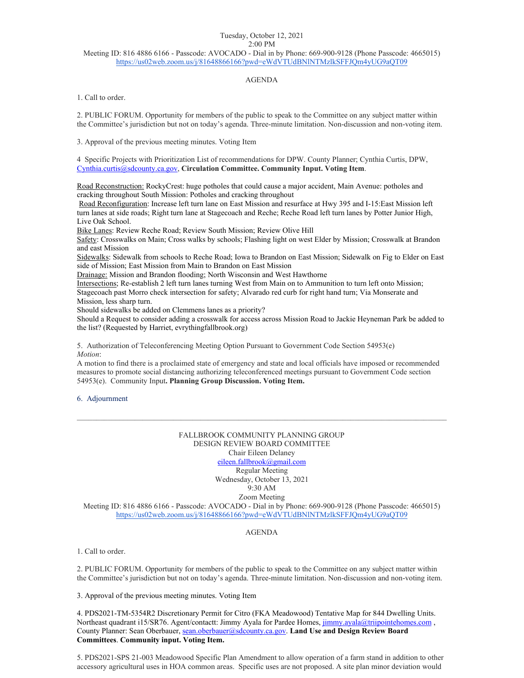# Tuesday, October 12, 2021 2:00 PM

Meeting ID: 816 4886 6166 - Passcode: AVOCADO - Dial in by Phone: 669-900-9128 (Phone Passcode: 4665015) <https://us02web.zoom.us/j/81648866166?pwd=eWdVTUdBNlNTMzlkSFFJQm4yUG9aQT09>

## AGENDA

1. Call to order.

2. PUBLIC FORUM. Opportunity for members of the public to speak to the Committee on any subject matter within the Committee's jurisdiction but not on today's agenda. Three-minute limitation. Non-discussion and non-voting item.

3. Approval of the previous meeting minutes. Voting Item

4 Specific Projects with Prioritization List of recommendations for DPW. County Planner; Cynthia Curtis, DPW, [Cynthia.curtis@sdcounty.ca.gov,](mailto:Cynthia.curtis@sdcounty.ca.gov) **Circulation Committee. Community Input. Voting Item**.

Road Reconstruction: RockyCrest: huge potholes that could cause a major accident, Main Avenue: potholes and cracking throughout South Mission: Potholes and cracking throughout

Road Reconfiguration: Increase left turn lane on East Mission and resurface at Hwy 395 and I-15:East Mission left turn lanes at side roads; Right turn lane at Stagecoach and Reche; Reche Road left turn lanes by Potter Junior High, Live Oak School.

Bike Lanes: Review Reche Road; Review South Mission; Review Olive Hill

Safety: Crosswalks on Main; Cross walks by schools; Flashing light on west Elder by Mission; Crosswalk at Brandon and east Mission

Sidewalks: Sidewalk from schools to Reche Road; Iowa to Brandon on East Mission; Sidewalk on Fig to Elder on East side of Mission; East Mission from Main to Brandon on East Mission

Drainage: Mission and Brandon flooding; North Wisconsin and West Hawthorne

Intersections; Re-establish 2 left turn lanes turning West from Main on to Ammunition to turn left onto Mission; Stagecoach past Morro check intersection for safety; Alvarado red curb for right hand turn; Via Monserate and Mission, less sharp turn.

Should sidewalks be added on Clemmens lanes as a priority?

Should a Request to consider adding a crosswalk for access across Mission Road to Jackie Heyneman Park be added to the list? (Requested by Harriet, evrythingfallbrook.org)

5. Authorization of Teleconferencing Meeting Option Pursuant to Government Code Section 54953(e) *Motion*:

A motion to find there is a proclaimed state of emergency and state and local officials have imposed or recommended measures to promote social distancing authorizing teleconferenced meetings pursuant to Government Code section 54953(e). Community Input**. Planning Group Discussion. Voting Item.** 

#### 6. Adjournment

#### FALLBROOK COMMUNITY PLANNING GROUP DESIGN REVIEW BOARD COMMITTEE Chair Eileen Delaney [eileen.fallbrook@gmail.com](mailto:eileen.fallbrook@gmail.com) Regular Meeting Wednesday, October 13, 2021 9:30 AM

 $\mathcal{L}_\mathcal{L} = \{ \mathcal{L}_\mathcal{L} = \{ \mathcal{L}_\mathcal{L} = \{ \mathcal{L}_\mathcal{L} = \{ \mathcal{L}_\mathcal{L} = \{ \mathcal{L}_\mathcal{L} = \{ \mathcal{L}_\mathcal{L} = \{ \mathcal{L}_\mathcal{L} = \{ \mathcal{L}_\mathcal{L} = \{ \mathcal{L}_\mathcal{L} = \{ \mathcal{L}_\mathcal{L} = \{ \mathcal{L}_\mathcal{L} = \{ \mathcal{L}_\mathcal{L} = \{ \mathcal{L}_\mathcal{L} = \{ \mathcal{L}_\mathcal{$ 

Zoom Meeting

Meeting ID: 816 4886 6166 - Passcode: AVOCADO - Dial in by Phone: 669-900-9128 (Phone Passcode: 4665015) <https://us02web.zoom.us/j/81648866166?pwd=eWdVTUdBNlNTMzlkSFFJQm4yUG9aQT09>

#### AGENDA

1. Call to order.

2. PUBLIC FORUM. Opportunity for members of the public to speak to the Committee on any subject matter within the Committee's jurisdiction but not on today's agenda. Three-minute limitation. Non-discussion and non-voting item.

3. Approval of the previous meeting minutes. Voting Item

4. PDS2021-TM-5354R2 Discretionary Permit for Citro (FKA Meadowood) Tentative Map for 844 Dwelling Units. Northeast quadrant i15/SR76. Agent/contactt: Jimmy Ayala for Pardee Homes, [jimmy.ayala@triipointehomes.com](mailto:jimmy.ayala@triipointehomes.com) , County Planner: Sean Oberbauer[, sean.oberbauer@sdcounty.ca.gov.](mailto:sean.oberbauer@sdcounty.ca.gov) **Land Use and Design Review Board Committees**. **Community input. Voting Item.**

5. PDS2021-SPS 21-003 Meadowood Specific Plan Amendment to allow operation of a farm stand in addition to other accessory agricultural uses in HOA common areas. Specific uses are not proposed. A site plan minor deviation would